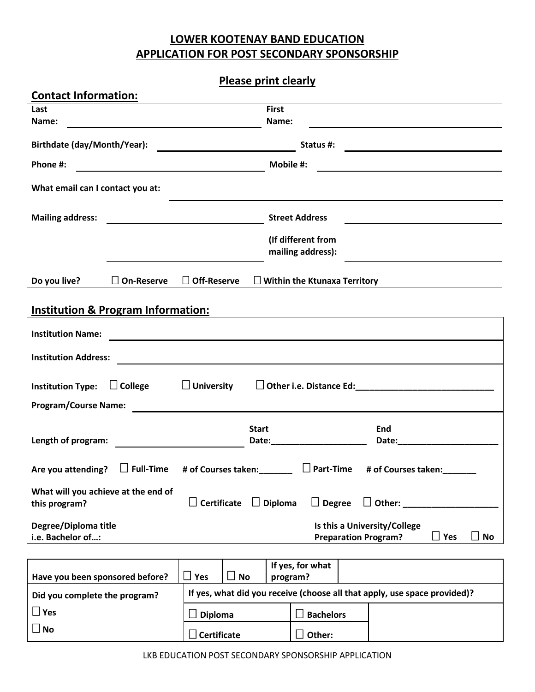## **LOWER KOOTENAY BAND EDUCATION APPLICATION FOR POST SECONDARY SPONSORSHIP**

## **Please print clearly**

| <b>Contact Information:</b>                                                                                                          |                   |                                                                                                                                                                                                                                                     |  |  |  |
|--------------------------------------------------------------------------------------------------------------------------------------|-------------------|-----------------------------------------------------------------------------------------------------------------------------------------------------------------------------------------------------------------------------------------------------|--|--|--|
| Last                                                                                                                                 |                   | <b>First</b>                                                                                                                                                                                                                                        |  |  |  |
| Name:                                                                                                                                |                   | Name:                                                                                                                                                                                                                                               |  |  |  |
| Birthdate (day/Month/Year):                                                                                                          |                   | <u> 1980 - Andrea Barbara, poeta esperanto-</u>                                                                                                                                                                                                     |  |  |  |
| Phone #:                                                                                                                             |                   | Mobile #:<br><u> 1989 - Andrea Barbara, manazarta eta politikaria (h. 1989).</u>                                                                                                                                                                    |  |  |  |
| What email can I contact you at:                                                                                                     |                   |                                                                                                                                                                                                                                                     |  |  |  |
| <b>Mailing address:</b>                                                                                                              |                   | <b>Street Address</b>                                                                                                                                                                                                                               |  |  |  |
|                                                                                                                                      |                   | (If different from The Communication of the Communication of the Communication of the Communication of the Communication of the Communication of the Communication of the Communication of the Communication of the Communicat<br>mailing address): |  |  |  |
| Do you live?                                                                                                                         | $\Box$ On-Reserve | $\Box$ Off-Reserve<br>$\Box$ Within the Ktunaxa Territory                                                                                                                                                                                           |  |  |  |
| <b>Institution &amp; Program Information:</b>                                                                                        |                   |                                                                                                                                                                                                                                                     |  |  |  |
| <b>Institution Name:</b>                                                                                                             |                   |                                                                                                                                                                                                                                                     |  |  |  |
| <b>Institution Address:</b>                                                                                                          |                   | <u> 1989 - Johann Barn, amerikan besteman besteman besteman besteman besteman besteman besteman besteman bestema</u>                                                                                                                                |  |  |  |
| Institution Type: $\Box$ College<br>$\Box$ University                                                                                |                   |                                                                                                                                                                                                                                                     |  |  |  |
| <b>Program/Course Name:</b>                                                                                                          |                   |                                                                                                                                                                                                                                                     |  |  |  |
|                                                                                                                                      |                   | <b>Start</b><br>End<br>Date:________________________                                                                                                                                                                                                |  |  |  |
| Are you attending?                                                                                                                   |                   | $\Box$ Full-Time # of Courses taken: $\Box$ Part-Time # of Courses taken:                                                                                                                                                                           |  |  |  |
| What will you achieve at the end of<br>$\Box$ Degree<br><b>Certificate</b><br>$\Box$ Diploma<br>$\Box$ Other: _____<br>this program? |                   |                                                                                                                                                                                                                                                     |  |  |  |
| Degree/Diploma title<br>i.e. Bachelor of:                                                                                            |                   | Is this a University/College<br>$\Box$ Yes<br><b>No</b><br><b>Preparation Program?</b>                                                                                                                                                              |  |  |  |
|                                                                                                                                      |                   |                                                                                                                                                                                                                                                     |  |  |  |
| Have you been sponsored before?                                                                                                      |                   | If yes, for what<br>$\Box$ Yes<br>$\Box$<br><b>No</b><br>program?                                                                                                                                                                                   |  |  |  |
| Did you complete the program?                                                                                                        |                   | If yes, what did you receive (choose all that apply, use space provided)?                                                                                                                                                                           |  |  |  |
| $\square$ Yes                                                                                                                        |                   | <b>Bachelors</b><br><b>Diploma</b>                                                                                                                                                                                                                  |  |  |  |
| $\square$ No                                                                                                                         |                   | $\Box$ Certificate<br>$\Box$ Other:                                                                                                                                                                                                                 |  |  |  |
|                                                                                                                                      |                   |                                                                                                                                                                                                                                                     |  |  |  |

LKB EDUCATION POST SECONDARY SPONSORSHIP APPLICATION